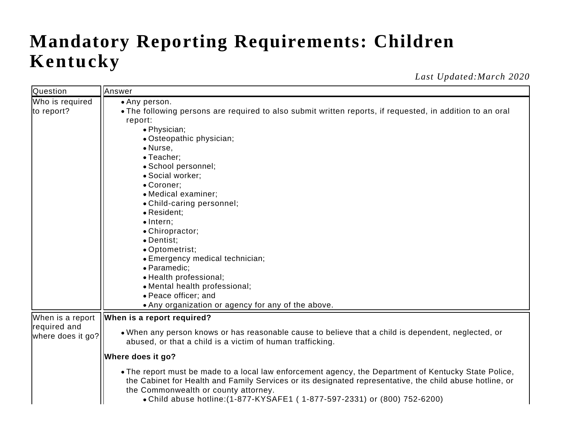## **Mandatory Reporting Requirements: Children Kentucky**

*Last Updated:March 2020*

| <b>Question</b>                                       | Answer                                                                                                                                                                                                                                                                                                                                 |
|-------------------------------------------------------|----------------------------------------------------------------------------------------------------------------------------------------------------------------------------------------------------------------------------------------------------------------------------------------------------------------------------------------|
| Who is required                                       | • Any person.                                                                                                                                                                                                                                                                                                                          |
| to report?                                            | • The following persons are required to also submit written reports, if requested, in addition to an oral                                                                                                                                                                                                                              |
|                                                       | report:                                                                                                                                                                                                                                                                                                                                |
|                                                       | • Physician;                                                                                                                                                                                                                                                                                                                           |
|                                                       | • Osteopathic physician;                                                                                                                                                                                                                                                                                                               |
|                                                       | • Nurse,                                                                                                                                                                                                                                                                                                                               |
|                                                       | • Teacher;                                                                                                                                                                                                                                                                                                                             |
|                                                       | · School personnel;                                                                                                                                                                                                                                                                                                                    |
|                                                       | · Social worker;                                                                                                                                                                                                                                                                                                                       |
|                                                       | • Coroner;                                                                                                                                                                                                                                                                                                                             |
|                                                       | • Medical examiner;                                                                                                                                                                                                                                                                                                                    |
|                                                       | • Child-caring personnel;                                                                                                                                                                                                                                                                                                              |
|                                                       | • Resident;                                                                                                                                                                                                                                                                                                                            |
|                                                       | $\bullet$ Intern;                                                                                                                                                                                                                                                                                                                      |
|                                                       | • Chiropractor;                                                                                                                                                                                                                                                                                                                        |
|                                                       | • Dentist;                                                                                                                                                                                                                                                                                                                             |
|                                                       | • Optometrist;                                                                                                                                                                                                                                                                                                                         |
|                                                       | • Emergency medical technician;                                                                                                                                                                                                                                                                                                        |
|                                                       | · Paramedic;                                                                                                                                                                                                                                                                                                                           |
|                                                       | • Health professional;                                                                                                                                                                                                                                                                                                                 |
|                                                       | • Mental health professional;                                                                                                                                                                                                                                                                                                          |
|                                                       | • Peace officer; and                                                                                                                                                                                                                                                                                                                   |
|                                                       | • Any organization or agency for any of the above.                                                                                                                                                                                                                                                                                     |
| When is a report<br>required and<br>where does it go? | When is a report required?                                                                                                                                                                                                                                                                                                             |
|                                                       | • When any person knows or has reasonable cause to believe that a child is dependent, neglected, or<br>abused, or that a child is a victim of human trafficking.                                                                                                                                                                       |
|                                                       | Where does it go?                                                                                                                                                                                                                                                                                                                      |
|                                                       | • The report must be made to a local law enforcement agency, the Department of Kentucky State Police,<br>the Cabinet for Health and Family Services or its designated representative, the child abuse hotline, or<br>the Commonwealth or county attorney.<br>• Child abuse hotline: (1-877-KYSAFE1 (1-877-597-2331) or (800) 752-6200) |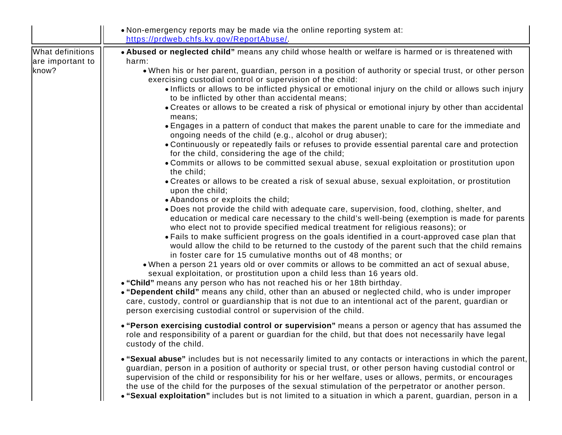|                                      | • Non-emergency reports may be made via the online reporting system at:<br>https://prdweb.chfs.ky.gov/ReportAbuse/                                                                                                                                                                                                                                                                                                                                                                                                                                                                    |
|--------------------------------------|---------------------------------------------------------------------------------------------------------------------------------------------------------------------------------------------------------------------------------------------------------------------------------------------------------------------------------------------------------------------------------------------------------------------------------------------------------------------------------------------------------------------------------------------------------------------------------------|
| What definitions<br>are important to | . Abused or neglected child" means any child whose health or welfare is harmed or is threatened with<br>harm:                                                                                                                                                                                                                                                                                                                                                                                                                                                                         |
| know?                                | . When his or her parent, guardian, person in a position of authority or special trust, or other person<br>exercising custodial control or supervision of the child:<br>• Inflicts or allows to be inflicted physical or emotional injury on the child or allows such injury                                                                                                                                                                                                                                                                                                          |
|                                      | to be inflicted by other than accidental means;                                                                                                                                                                                                                                                                                                                                                                                                                                                                                                                                       |
|                                      | • Creates or allows to be created a risk of physical or emotional injury by other than accidental<br>means;                                                                                                                                                                                                                                                                                                                                                                                                                                                                           |
|                                      | • Engages in a pattern of conduct that makes the parent unable to care for the immediate and<br>ongoing needs of the child (e.g., alcohol or drug abuser);                                                                                                                                                                                                                                                                                                                                                                                                                            |
|                                      | • Continuously or repeatedly fails or refuses to provide essential parental care and protection<br>for the child, considering the age of the child;                                                                                                                                                                                                                                                                                                                                                                                                                                   |
|                                      | • Commits or allows to be committed sexual abuse, sexual exploitation or prostitution upon<br>the child;                                                                                                                                                                                                                                                                                                                                                                                                                                                                              |
|                                      | • Creates or allows to be created a risk of sexual abuse, sexual exploitation, or prostitution<br>upon the child;                                                                                                                                                                                                                                                                                                                                                                                                                                                                     |
|                                      | • Abandons or exploits the child;<br>• Does not provide the child with adequate care, supervision, food, clothing, shelter, and<br>education or medical care necessary to the child's well-being (exemption is made for parents<br>who elect not to provide specified medical treatment for religious reasons); or<br>• Fails to make sufficient progress on the goals identified in a court-approved case plan that<br>would allow the child to be returned to the custody of the parent such that the child remains<br>in foster care for 15 cumulative months out of 48 months; or |
|                                      | . When a person 21 years old or over commits or allows to be committed an act of sexual abuse,<br>sexual exploitation, or prostitution upon a child less than 16 years old.                                                                                                                                                                                                                                                                                                                                                                                                           |
|                                      | . "Child" means any person who has not reached his or her 18th birthday.<br>• "Dependent child" means any child, other than an abused or neglected child, who is under improper<br>care, custody, control or guardianship that is not due to an intentional act of the parent, guardian or<br>person exercising custodial control or supervision of the child.                                                                                                                                                                                                                        |
|                                      | • "Person exercising custodial control or supervision" means a person or agency that has assumed the<br>role and responsibility of a parent or guardian for the child, but that does not necessarily have legal<br>custody of the child.                                                                                                                                                                                                                                                                                                                                              |
|                                      | • "Sexual abuse" includes but is not necessarily limited to any contacts or interactions in which the parent,<br>guardian, person in a position of authority or special trust, or other person having custodial control or<br>supervision of the child or responsibility for his or her welfare, uses or allows, permits, or encourages<br>the use of the child for the purposes of the sexual stimulation of the perpetrator or another person.<br>• "Sexual exploitation" includes but is not limited to a situation in which a parent, guardian, person in a                       |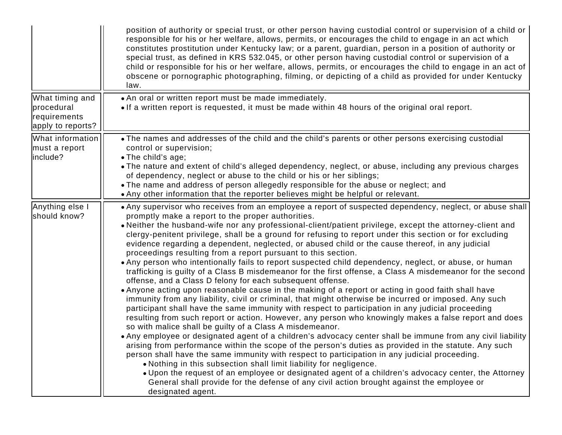|                                                                    | position of authority or special trust, or other person having custodial control or supervision of a child or<br>responsible for his or her welfare, allows, permits, or encourages the child to engage in an act which<br>constitutes prostitution under Kentucky law; or a parent, guardian, person in a position of authority or<br>special trust, as defined in KRS 532.045, or other person having custodial control or supervision of a<br>child or responsible for his or her welfare, allows, permits, or encourages the child to engage in an act of<br>obscene or pornographic photographing, filming, or depicting of a child as provided for under Kentucky<br>law.                                                                                                                                                                                                                                                                                                                                                                                                                                                                                                                                                                                                                                                                                                                                                                                                                                                                                                                                                                                                                                                                                                                                                                                                                                                                                  |
|--------------------------------------------------------------------|------------------------------------------------------------------------------------------------------------------------------------------------------------------------------------------------------------------------------------------------------------------------------------------------------------------------------------------------------------------------------------------------------------------------------------------------------------------------------------------------------------------------------------------------------------------------------------------------------------------------------------------------------------------------------------------------------------------------------------------------------------------------------------------------------------------------------------------------------------------------------------------------------------------------------------------------------------------------------------------------------------------------------------------------------------------------------------------------------------------------------------------------------------------------------------------------------------------------------------------------------------------------------------------------------------------------------------------------------------------------------------------------------------------------------------------------------------------------------------------------------------------------------------------------------------------------------------------------------------------------------------------------------------------------------------------------------------------------------------------------------------------------------------------------------------------------------------------------------------------------------------------------------------------------------------------------------------------|
| What timing and<br>procedural<br>requirements<br>apply to reports? | • An oral or written report must be made immediately.<br>• If a written report is requested, it must be made within 48 hours of the original oral report.                                                                                                                                                                                                                                                                                                                                                                                                                                                                                                                                                                                                                                                                                                                                                                                                                                                                                                                                                                                                                                                                                                                                                                                                                                                                                                                                                                                                                                                                                                                                                                                                                                                                                                                                                                                                        |
| What information<br>must a report<br>include?                      | • The names and addresses of the child and the child's parents or other persons exercising custodial<br>control or supervision;<br>• The child's age;<br>• The nature and extent of child's alleged dependency, neglect, or abuse, including any previous charges<br>of dependency, neglect or abuse to the child or his or her siblings;<br>• The name and address of person allegedly responsible for the abuse or neglect; and<br>• Any other information that the reporter believes might be helpful or relevant.                                                                                                                                                                                                                                                                                                                                                                                                                                                                                                                                                                                                                                                                                                                                                                                                                                                                                                                                                                                                                                                                                                                                                                                                                                                                                                                                                                                                                                            |
| Anything else I<br>should know?                                    | • Any supervisor who receives from an employee a report of suspected dependency, neglect, or abuse shall<br>promptly make a report to the proper authorities.<br>• Neither the husband-wife nor any professional-client/patient privilege, except the attorney-client and<br>clergy-penitent privilege, shall be a ground for refusing to report under this section or for excluding<br>evidence regarding a dependent, neglected, or abused child or the cause thereof, in any judicial<br>proceedings resulting from a report pursuant to this section.<br>• Any person who intentionally fails to report suspected child dependency, neglect, or abuse, or human<br>trafficking is guilty of a Class B misdemeanor for the first offense, a Class A misdemeanor for the second<br>offense, and a Class D felony for each subsequent offense.<br>• Anyone acting upon reasonable cause in the making of a report or acting in good faith shall have<br>immunity from any liability, civil or criminal, that might otherwise be incurred or imposed. Any such<br>participant shall have the same immunity with respect to participation in any judicial proceeding<br>resulting from such report or action. However, any person who knowingly makes a false report and does<br>so with malice shall be guilty of a Class A misdemeanor.<br>• Any employee or designated agent of a children's advocacy center shall be immune from any civil liability<br>arising from performance within the scope of the person's duties as provided in the statute. Any such<br>person shall have the same immunity with respect to participation in any judicial proceeding.<br>• Nothing in this subsection shall limit liability for negligence.<br>• Upon the request of an employee or designated agent of a children's advocacy center, the Attorney<br>General shall provide for the defense of any civil action brought against the employee or<br>designated agent. |